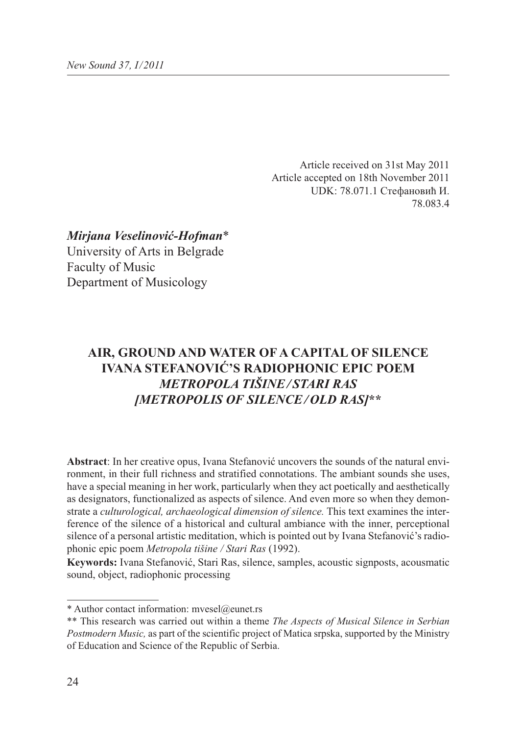Article received on 31st May 2011 Article accepted on 18th November 2011 UDK: 78.071.1 Стефановић И. 78.083.4

*Mirjana Veselinović-Hofman*\* University of Arts in Belgrade Faculty of Music Department of Musicology

# **AIR, GROUND AND WATER OF A CAPITAL OF SILENCE IVANA STEFANOVIĆ'S RADIOPHONIC EPIC POEM** *METROPOLA TIŠINE / STARI RAS [METROPOLIS OF SILENCE / OLD RAS]***\*\***

**Abstract**: In her creative opus, Ivana Stefanović uncovers the sounds of the natural environment, in their full richness and stratified connotations. The ambiant sounds she uses, have a special meaning in her work, particularly when they act poetically and aesthetically as designators, functionalized as aspects of silence. And even more so when they demonstrate a *culturological, archaeological dimension of silence.* This text examines the interference of the silence of a historical and cultural ambiance with the inner, perceptional silence of a personal artistic meditation, which is pointed out by Ivana Stefanović's radiophonic epic poem *Metropola tišine / Stari Ras* (1992).

**Keywords:** Ivana Stefanović, Stari Ras, silence, samples, acoustic signposts, acousmatic sound, object, radiophonic processing

<sup>\*</sup> Author contact information: mvesel@eunet.rs

<sup>\*\*</sup> This research was carried out within a theme *The Aspects of Musical Silence in Serbian Postmodern Music,* as part of the scientific project of Matica srpska, supported by the Ministry of Education and Science of the Republic of Serbia.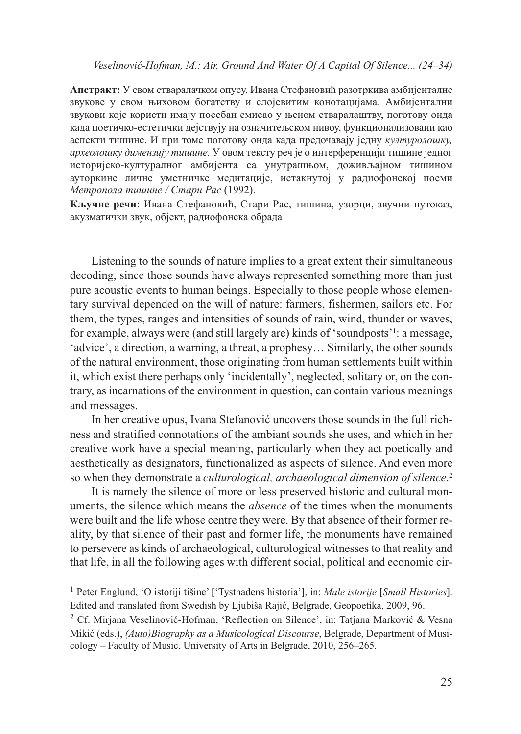**Апстракт:** У свом стваралачком опусу, Ивана Стефановић разотркива амбијенталне звукове у свом њиховом богатству и слојевитим конотацијама. Амбијентални звукови које користи имају посебан смисао у њеном стваралаштву, поготову онда када поетичко-естетички дејствују на означитељском нивоу, функционализовани као аспекти тишине. И при томе поготову онда када предочавају једну *културолошку, археолошку димензију тишине.* У овом тексту реч је о интерференцији тишине једног историјско-културалног амбијента са унутрашњом, доживљајном тишином ауторкине личне уметничке медитације, истакнутој у радиофонској поеми *Метропола тишине / Стари Рас* (1992).

**Кључне речи**: Ивана Стефановић, Стари Рас, тишина, узорци, звучни путоказ, акузматички звук, објект, радиофонска обрада

Listening to the sounds of nature implies to a great extent their simultaneous decoding, since those sounds have always represented something more than just pure acoustic events to human beings. Especially to those people whose elementary survival depended on the will of nature: farmers, fishermen, sailors etc. For them, the types, ranges and intensities of sounds of rain, wind, thunder or waves, for example, always were (and still largely are) kinds of 'soundposts'1 : a message, 'advice', a direction, a warning, a threat, a prophesy… Similarly, the other sounds of the natural environment, those originating from human settlements built within it, which exist there perhaps only 'incidentally', neglected, solitary or, on the contrary, as incarnations of the environment in question, can contain various meanings and messages.

In her creative opus, Ivana Stefanović uncovers those sounds in the full richness and stratified connotations of the ambiant sounds she uses, and which in her creative work have a special meaning, particularly when they act poetically and aesthetically as designators, functionalized as aspects of silence. And even more so when they demonstrate a *culturological, archaeological dimension of silence*. 2

It is namely the silence of more or less preserved historic and cultural monuments, the silence which means the *absence* of the times when the monuments were built and the life whose centre they were. By that absence of their former reality, by that silence of their past and former life, the monuments have remained to persevere as kinds of archaeological, culturological witnesses to that reality and that life, in all the following ages with different social, political and economic cir-

<sup>1</sup> Peter Englund, 'O istoriji tišine' ['Tystnadens historia'], in: *Male istorije* [*Small Histories*]. Edited and translated from Swedish by Ljubiša Rajić, Belgrade, Geopoetika, 2009, 96.

<sup>2</sup> Cf. Mirjana Veselinović-Hofman, 'Reflection on Silence', in: Tatjana Marković & Vesna Mikić (eds.), *(Auto)Biography as a Musicological Discourse*, Belgrade, Department of Musicology – Faculty of Music, University of Arts in Belgrade, 2010, 256–265.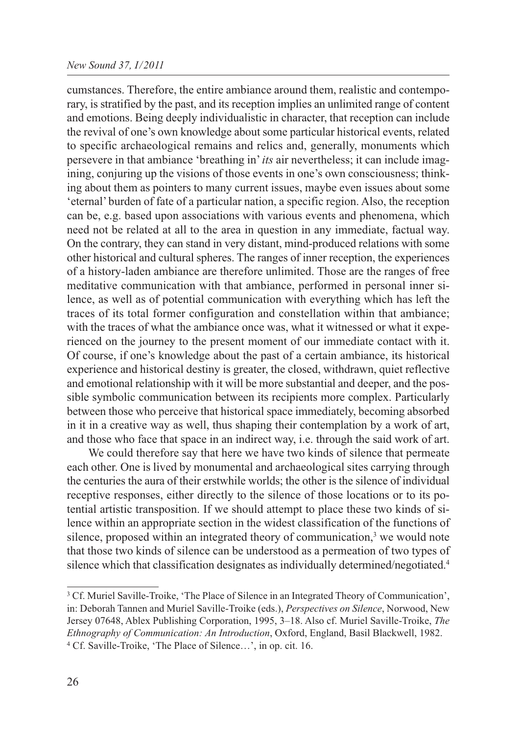## *New Sound 37, I/2011*

cumstances. Therefore, the entire ambiance around them, realistic and contemporary, is stratified by the past, and its reception implies an unlimited range of content and emotions. Being deeply individualistic in character, that reception can include the revival of one's own knowledge about some particular historical events, related to specific archaeological remains and relics and, generally, monuments which persevere in that ambiance 'breathing in' *its* air nevertheless; it can include imagining, conjuring up the visions of those events in one's own consciousness; thinking about them as pointers to many current issues, maybe even issues about some 'eternal' burden of fate of a particular nation, a specific region. Also, the reception can be, e.g. based upon associations with various events and phenomena, which need not be related at all to the area in question in any immediate, factual way. On the contrary, they can stand in very distant, mind-produced relations with some other historical and cultural spheres. The ranges of inner reception, the experiences of a history-laden ambiance are therefore unlimited. Those are the ranges of free meditative communication with that ambiance, performed in personal inner silence, as well as of potential communication with everything which has left the traces of its total former configuration and constellation within that ambiance; with the traces of what the ambiance once was, what it witnessed or what it experienced on the journey to the present moment of our immediate contact with it. Of course, if one's knowledge about the past of a certain ambiance, its historical experience and historical destiny is greater, the closed, withdrawn, quiet reflective and emotional relationship with it will be more substantial and deeper, and the possible symbolic communication between its recipients more complex. Particularly between those who perceive that historical space immediately, becoming absorbed in it in a creative way as well, thus shaping their contemplation by a work of art, and those who face that space in an indirect way, i.e. through the said work of art.

We could therefore say that here we have two kinds of silence that permeate each other. One is lived by monumental and archaeological sites carrying through the centuries the aura of their erstwhile worlds; the other is the silence of individual receptive responses, either directly to the silence of those locations or to its potential artistic transposition. If we should attempt to place these two kinds of silence within an appropriate section in the widest classification of the functions of silence, proposed within an integrated theory of communication,<sup>3</sup> we would note that those two kinds of silence can be understood as a permeation of two types of silence which that classification designates as individually determined/negotiated.4

<sup>3</sup> Cf. Muriel Saville-Troike, 'The Place of Silence in an Integrated Theory of Communication', in: Deborah Tannen and Muriel Saville-Troike (eds.), *Perspectives on Silence*, Norwood, New Jersey 07648, Ablex Publishing Corporation, 1995, 3–18. Also cf. Muriel Saville-Troike, *The Ethnography of Communication: An Introduction*, Oxford, England, Basil Blackwell, 1982. <sup>4</sup> Cf. Saville-Troike, 'The Place of Silence…', in op. cit. 16.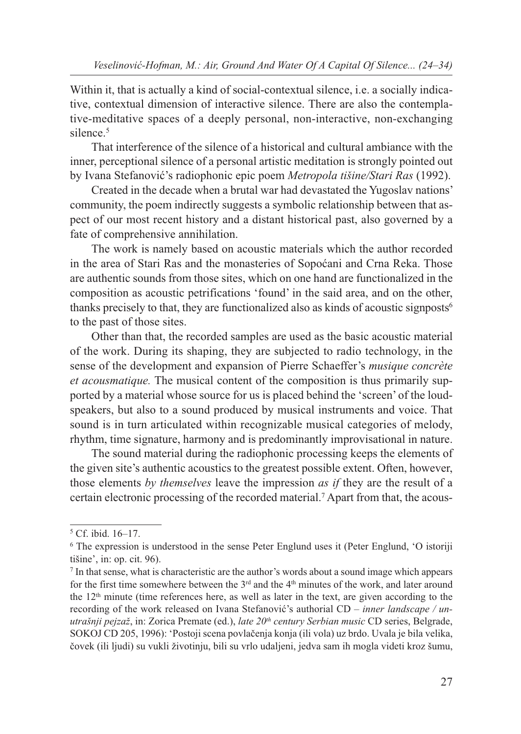Within it, that is actually a kind of social-contextual silence, i.e. a socially indicative, contextual dimension of interactive silence. There are also the contemplative-meditative spaces of a deeply personal, non-interactive, non-exchanging silence.<sup>5</sup>

That interference of the silence of a historical and cultural ambiance with the inner, perceptional silence of a personal artistic meditation is strongly pointed out by Ivana Stefanović's radiophonic epic poem *Metropola tišine/Stari Ras* (1992).

Created in the decade when a brutal war had devastated the Yugoslav nations' community, the poem indirectly suggests a symbolic relationship between that aspect of our most recent history and a distant historical past, also governed by a fate of comprehensive annihilation.

The work is namely based on acoustic materials which the author recorded in the area of Stari Ras and the monasteries of Sopoćani and Crna Reka. Those are authentic sounds from those sites, which on one hand are functionalized in the composition as acoustic petrifications 'found' in the said area, and on the other, thanks precisely to that, they are functionalized also as kinds of acoustic signposts6 to the past of those sites.

Other than that, the recorded samples are used as the basic acoustic material of the work. During its shaping, they are subjected to radio technology, in the sense of the development and expansion of Pierre Schaeffer's *musique concrète et acousmatique.* The musical content of the composition is thus primarily supported by a material whose source for us is placed behind the 'screen' of the loudspeakers, but also to a sound produced by musical instruments and voice. That sound is in turn articulated within recognizable musical categories of melody, rhythm, time signature, harmony and is predominantly improvisational in nature.

The sound material during the radiophonic processing keeps the elements of the given site's authentic acoustics to the greatest possible extent. Often, however, those elements *by themselves* leave the impression *as if* they are the result of a certain electronic processing of the recorded material.7 Apart from that, the acous-

<sup>5</sup> Cf. ibid. 16–17.

<sup>6</sup> The expression is understood in the sense Peter Englund uses it (Peter Englund, 'O istoriji tišine', in: op. cit. 96).

<sup>7</sup> In that sense, what is characteristic are the author's words about a sound image which appears for the first time somewhere between the  $3<sup>rd</sup>$  and the  $4<sup>th</sup>$  minutes of the work, and later around the 12th minute (time references here, as well as later in the text, are given according to the recording of the work released on Ivana Stefanović's authorial CD – *inner landscape / unutrašnji pejzaž*, in: Zorica Premate (ed.), *late 20th century Serbian music* CD series, Belgrade, SOKOJ CD 205, 1996): 'Postoji scena povlačenja konja (ili vola) uz brdo. Uvala je bila velika, čovek (ili ljudi) su vukli životinju, bili su vrlo udaljeni, jedva sam ih mogla videti kroz šumu,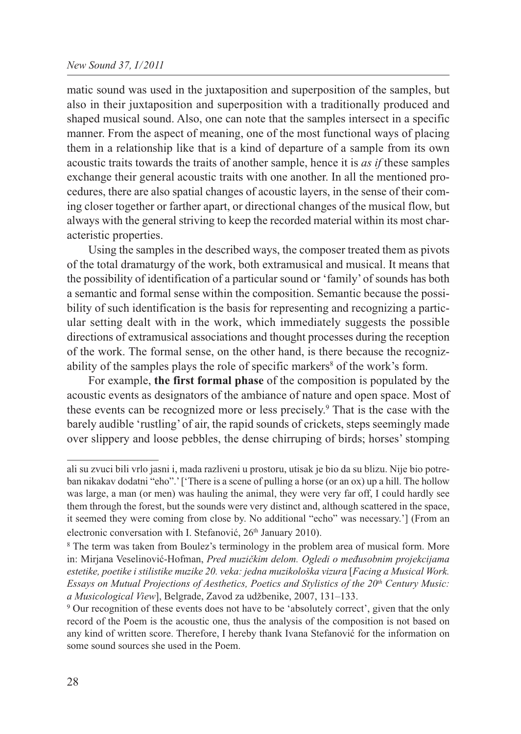## *New Sound 37, I/2011*

matic sound was used in the juxtaposition and superposition of the samples, but also in their juxtaposition and superposition with a traditionally produced and shaped musical sound. Also, one can note that the samples intersect in a specific manner. From the aspect of meaning, one of the most functional ways of placing them in a relationship like that is a kind of departure of a sample from its own acoustic traits towards the traits of another sample, hence it is *as if* these samples exchange their general acoustic traits with one another. In all the mentioned procedures, there are also spatial changes of acoustic layers, in the sense of their coming closer together or farther apart, or directional changes of the musical flow, but always with the general striving to keep the recorded material within its most characteristic properties.

Using the samples in the described ways, the composer treated them as pivots of the total dramaturgy of the work, both extramusical and musical. It means that the possibility of identification of a particular sound or 'family' of sounds has both a semantic and formal sense within the composition. Semantic because the possibility of such identification is the basis for representing and recognizing a particular setting dealt with in the work, which immediately suggests the possible directions of extramusical associations and thought processes during the reception of the work. The formal sense, on the other hand, is there because the recognizability of the samples plays the role of specific markers<sup>8</sup> of the work's form.

For example, **the first formal phase** of the composition is populated by the acoustic events as designators of the ambiance of nature and open space. Most of these events can be recognized more or less precisely.9 That is the case with the barely audible 'rustling' of air, the rapid sounds of crickets, steps seemingly made over slippery and loose pebbles, the dense chirruping of birds; horses' stomping

ali su zvuci bili vrlo jasni i, mada razliveni u prostoru, utisak je bio da su blizu. Nije bio potreban nikakav dodatni "eho".' ['There is a scene of pulling a horse (or an ox) up a hill. The hollow was large, a man (or men) was hauling the animal, they were very far off, I could hardly see them through the forest, but the sounds were very distinct and, although scattered in the space, it seemed they were coming from close by. No additional "echo" was necessary.'] (From an electronic conversation with I. Stefanović, 26<sup>th</sup> January 2010).

<sup>8</sup> The term was taken from Boulez's terminology in the problem area of musical form. More in: Mirjana Veselinović-Hofman, *Pred muzičkim delom. Ogledi o međusobnim projekcijama estetike, poetike i stilistike muzike 20. veka: jedna muzikološka vizura* [*Facing a Musical Work. Essays on Mutual Projections of Aesthetics, Poetics and Stylistics of the 20th Century Music: a Musicological View*], Belgrade, Zavod za udžbenike, 2007, 131–133.

<sup>9</sup> Our recognition of these events does not have to be 'absolutely correct', given that the only record of the Poem is the acoustic one, thus the analysis of the composition is not based on any kind of written score. Therefore, I hereby thank Ivana Stefanović for the information on some sound sources she used in the Poem.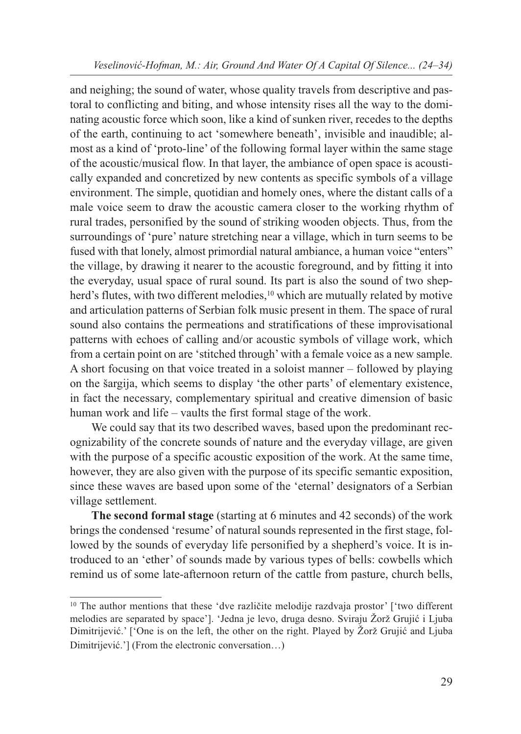and neighing; the sound of water, whose quality travels from descriptive and pastoral to conflicting and biting, and whose intensity rises all the way to the dominating acoustic force which soon, like a kind of sunken river, recedes to the depths of the earth, continuing to act 'somewhere beneath', invisible and inaudible; almost as a kind of 'proto-line' of the following formal layer within the same stage of the acoustic/musical flow. In that layer, the ambiance of open space is acoustically expanded and concretized by new contents as specific symbols of a village environment. The simple, quotidian and homely ones, where the distant calls of a male voice seem to draw the acoustic camera closer to the working rhythm of rural trades, personified by the sound of striking wooden objects. Thus, from the surroundings of 'pure' nature stretching near a village, which in turn seems to be fused with that lonely, almost primordial natural ambiance, a human voice "enters" the village, by drawing it nearer to the acoustic foreground, and by fitting it into the everyday, usual space of rural sound. Its part is also the sound of two shepherd's flutes, with two different melodies,<sup>10</sup> which are mutually related by motive and articulation patterns of Serbian folk music present in them. The space of rural sound also contains the permeations and stratifications of these improvisational patterns with echoes of calling and/or acoustic symbols of village work, which from a certain point on are 'stitched through' with a female voice as a new sample. A short focusing on that voice treated in a soloist manner – followed by playing on the šargija, which seems to display 'the other parts' of elementary existence, in fact the necessary, complementary spiritual and creative dimension of basic human work and life – vaults the first formal stage of the work.

We could say that its two described waves, based upon the predominant recognizability of the concrete sounds of nature and the everyday village, are given with the purpose of a specific acoustic exposition of the work. At the same time, however, they are also given with the purpose of its specific semantic exposition, since these waves are based upon some of the 'eternal' designators of a Serbian village settlement.

**The second formal stage** (starting at 6 minutes and 42 seconds) of the work brings the condensed 'resume' of natural sounds represented in the first stage, followed by the sounds of everyday life personified by a shepherd's voice. It is introduced to an 'ether' of sounds made by various types of bells: cowbells which remind us of some late-afternoon return of the cattle from pasture, church bells,

<sup>&</sup>lt;sup>10</sup> The author mentions that these 'dve različite melodije razdvaja prostor' ['two different melodies are separated by space']. 'Jedna je levo, druga desno. Sviraju Žorž Grujić i Ljuba Dimitrijević.' ['One is on the left, the other on the right. Played by Žorž Grujić and Ljuba Dimitrijević.'] (From the electronic conversation…)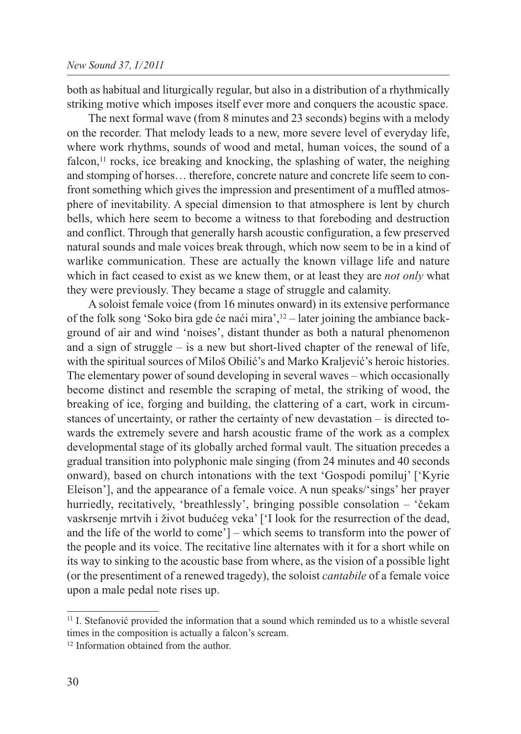both as habitual and liturgically regular, but also in a distribution of a rhythmically striking motive which imposes itself ever more and conquers the acoustic space.

The next formal wave (from 8 minutes and 23 seconds) begins with a melody on the recorder. That melody leads to a new, more severe level of everyday life, where work rhythms, sounds of wood and metal, human voices, the sound of a falcon, $11$  rocks, ice breaking and knocking, the splashing of water, the neighing and stomping of horses… therefore, concrete nature and concrete life seem to confront something which gives the impression and presentiment of a muffled atmosphere of inevitability. A special dimension to that atmosphere is lent by church bells, which here seem to become a witness to that foreboding and destruction and conflict. Through that generally harsh acoustic configuration, a few preserved natural sounds and male voices break through, which now seem to be in a kind of warlike communication. These are actually the known village life and nature which in fact ceased to exist as we knew them, or at least they are *not only* what they were previously. They became a stage of struggle and calamity.

A soloist female voice (from 16 minutes onward) in its extensive performance of the folk song 'Soko bira gde će naći mira',12 – later joining the ambiance background of air and wind 'noises', distant thunder as both a natural phenomenon and a sign of struggle – is a new but short-lived chapter of the renewal of life, with the spiritual sources of Miloš Obilić's and Marko Kraljević's heroic histories. The elementary power of sound developing in several waves – which occasionally become distinct and resemble the scraping of metal, the striking of wood, the breaking of ice, forging and building, the clattering of a cart, work in circumstances of uncertainty, or rather the certainty of new devastation – is directed towards the extremely severe and harsh acoustic frame of the work as a complex developmental stage of its globally arched formal vault. The situation precedes a gradual transition into polyphonic male singing (from 24 minutes and 40 seconds onward), based on church intonations with the text 'Gospodi pomiluj' ['Kyrie Eleison'], and the appearance of a female voice. A nun speaks/'sings' her prayer hurriedly, recitatively, 'breathlessly', bringing possible consolation – 'čekam vaskrsenje mrtvih i život budućeg veka' ['I look for the resurrection of the dead, and the life of the world to come'] – which seems to transform into the power of the people and its voice. The recitative line alternates with it for a short while on its way to sinking to the acoustic base from where, as the vision of a possible light (or the presentiment of a renewed tragedy), the soloist *cantabile* of a female voice upon a male pedal note rises up.

<sup>&</sup>lt;sup>11</sup> I. Stefanović provided the information that a sound which reminded us to a whistle several times in the composition is actually a falcon's scream.

<sup>&</sup>lt;sup>12</sup> Information obtained from the author.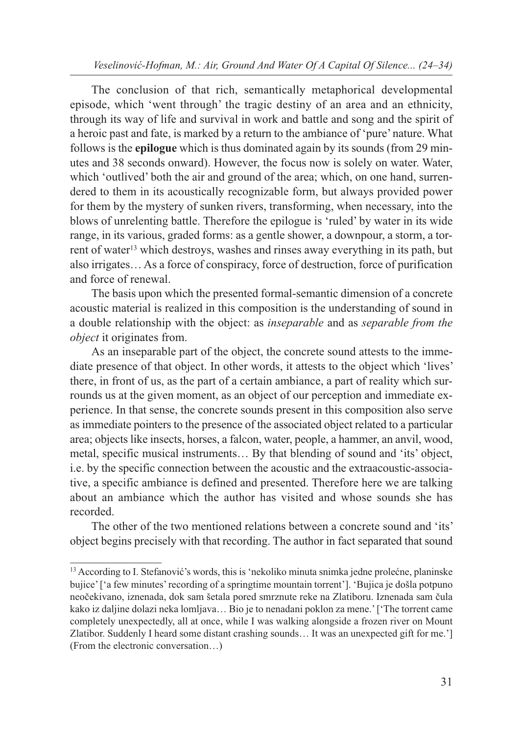*Veselinović-Hofman, M.: Air, Ground And Water Of A Capital Of Silence... (24–34)*

The conclusion of that rich, semantically metaphorical developmental episode, which 'went through' the tragic destiny of an area and an ethnicity, through its way of life and survival in work and battle and song and the spirit of a heroic past and fate, is marked by a return to the ambiance of 'pure' nature. What follows is the **epilogue** which is thus dominated again by its sounds (from 29 minutes and 38 seconds onward). However, the focus now is solely on water. Water, which 'outlived' both the air and ground of the area; which, on one hand, surrendered to them in its acoustically recognizable form, but always provided power for them by the mystery of sunken rivers, transforming, when necessary, into the blows of unrelenting battle. Therefore the epilogue is 'ruled' by water in its wide range, in its various, graded forms: as a gentle shower, a downpour, a storm, a torrent of water<sup>13</sup> which destroys, washes and rinses away everything in its path, but also irrigates… As a force of conspiracy, force of destruction, force of purification and force of renewal.

The basis upon which the presented formal-semantic dimension of a concrete acoustic material is realized in this composition is the understanding of sound in a double relationship with the object: as *inseparable* and as *separable from the object* it originates from.

As an inseparable part of the object, the concrete sound attests to the immediate presence of that object. In other words, it attests to the object which 'lives' there, in front of us, as the part of a certain ambiance, a part of reality which surrounds us at the given moment, as an object of our perception and immediate experience. In that sense, the concrete sounds present in this composition also serve as immediate pointers to the presence of the associated object related to a particular area; objects like insects, horses, a falcon, water, people, a hammer, an anvil, wood, metal, specific musical instruments… By that blending of sound and 'its' object, i.e. by the specific connection between the acoustic and the extraacoustic-associative, a specific ambiance is defined and presented. Therefore here we are talking about an ambiance which the author has visited and whose sounds she has recorded.

The other of the two mentioned relations between a concrete sound and 'its' object begins precisely with that recording. The author in fact separated that sound

<sup>13</sup> According to I. Stefanović's words, this is 'nekoliko minuta snimka jedne prolećne, planinske bujice' ['a few minutes' recording of a springtime mountain torrent']. 'Bujica je došla potpuno neočekivano, iznenada, dok sam šetala pored smrznute reke na Zlatiboru. Iznenada sam čula kako iz daljine dolazi neka lomljava… Bio je to nenadani poklon za mene.' ['The torrent came completely unexpectedly, all at once, while I was walking alongside a frozen river on Mount Zlatibor. Suddenly I heard some distant crashing sounds… It was an unexpected gift for me.'] (From the electronic conversation…)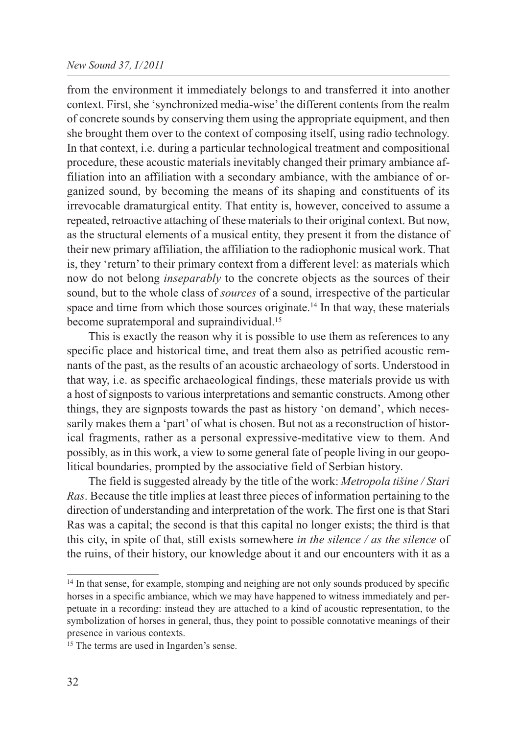## *New Sound 37, I/2011*

from the environment it immediately belongs to and transferred it into another context. First, she 'synchronized media-wise' the different contents from the realm of concrete sounds by conserving them using the appropriate equipment, and then she brought them over to the context of composing itself, using radio technology. In that context, i.e. during a particular technological treatment and compositional procedure, these acoustic materials inevitably changed their primary ambiance affiliation into an affiliation with a secondary ambiance, with the ambiance of organized sound, by becoming the means of its shaping and constituents of its irrevocable dramaturgical entity. That entity is, however, conceived to assume a repeated, retroactive attaching of these materials to their original context. But now, as the structural elements of a musical entity, they present it from the distance of their new primary affiliation, the affiliation to the radiophonic musical work. That is, they 'return' to their primary context from a different level: as materials which now do not belong *inseparably* to the concrete objects as the sources of their sound, but to the whole class of *sources* of a sound, irrespective of the particular space and time from which those sources originate.<sup>14</sup> In that way, these materials become supratemporal and supraindividual.<sup>15</sup>

This is exactly the reason why it is possible to use them as references to any specific place and historical time, and treat them also as petrified acoustic remnants of the past, as the results of an acoustic archaeology of sorts. Understood in that way, i.e. as specific archaeological findings, these materials provide us with a host of signposts to various interpretations and semantic constructs. Among other things, they are signposts towards the past as history 'on demand', which necessarily makes them a 'part' of what is chosen. But not as a reconstruction of historical fragments, rather as a personal expressive-meditative view to them. And possibly, as in this work, a view to some general fate of people living in our geopolitical boundaries, prompted by the associative field of Serbian history.

The field is suggested already by the title of the work: *Metropola tišine / Stari Ras*. Because the title implies at least three pieces of information pertaining to the direction of understanding and interpretation of the work. The first one is that Stari Ras was a capital; the second is that this capital no longer exists; the third is that this city, in spite of that, still exists somewhere *in the silence / as the silence* of the ruins, of their history, our knowledge about it and our encounters with it as a

<sup>&</sup>lt;sup>14</sup> In that sense, for example, stomping and neighing are not only sounds produced by specific horses in a specific ambiance, which we may have happened to witness immediately and perpetuate in a recording: instead they are attached to a kind of acoustic representation, to the symbolization of horses in general, thus, they point to possible connotative meanings of their presence in various contexts.

<sup>&</sup>lt;sup>15</sup> The terms are used in Ingarden's sense.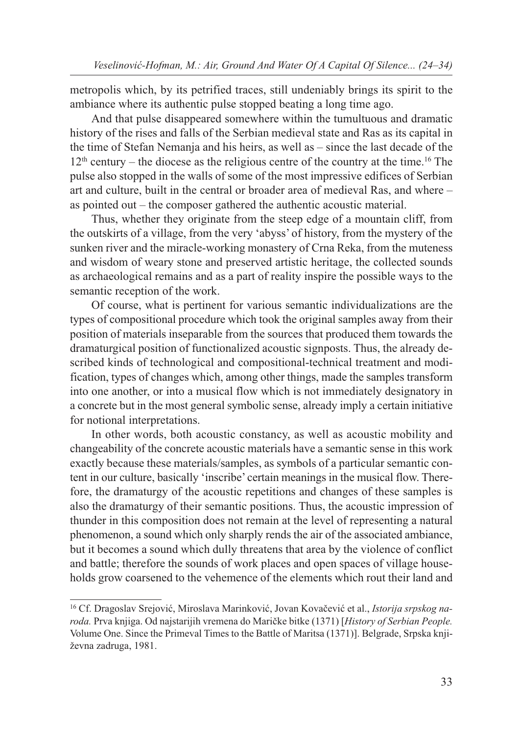metropolis which, by its petrified traces, still undeniably brings its spirit to the ambiance where its authentic pulse stopped beating a long time ago.

And that pulse disappeared somewhere within the tumultuous and dramatic history of the rises and falls of the Serbian medieval state and Ras as its capital in the time of Stefan Nemanja and his heirs, as well as – since the last decade of the  $12<sup>th</sup>$  century – the diocese as the religious centre of the country at the time.<sup>16</sup> The pulse also stopped in the walls of some of the most impressive edifices of Serbian art and culture, built in the central or broader area of medieval Ras, and where – as pointed out – the composer gathered the authentic acoustic material.

Thus, whether they originate from the steep edge of a mountain cliff, from the outskirts of a village, from the very 'abyss' of history, from the mystery of the sunken river and the miracle-working monastery of Crna Reka, from the muteness and wisdom of weary stone and preserved artistic heritage, the collected sounds as archaeological remains and as a part of reality inspire the possible ways to the semantic reception of the work.

Of course, what is pertinent for various semantic individualizations are the types of compositional procedure which took the original samples away from their position of materials inseparable from the sources that produced them towards the dramaturgical position of functionalized acoustic signposts. Thus, the already described kinds of technological and compositional-technical treatment and modification, types of changes which, among other things, made the samples transform into one another, or into a musical flow which is not immediately designatory in a concrete but in the most general symbolic sense, already imply a certain initiative for notional interpretations.

In other words, both acoustic constancy, as well as acoustic mobility and changeability of the concrete acoustic materials have a semantic sense in this work exactly because these materials/samples, as symbols of a particular semantic content in our culture, basically 'inscribe' certain meanings in the musical flow. Therefore, the dramaturgy of the acoustic repetitions and changes of these samples is also the dramaturgy of their semantic positions. Thus, the acoustic impression of thunder in this composition does not remain at the level of representing a natural phenomenon, a sound which only sharply rends the air of the associated ambiance, but it becomes a sound which dully threatens that area by the violence of conflict and battle; therefore the sounds of work places and open spaces of village households grow coarsened to the vehemence of the elements which rout their land and

<sup>16</sup> Cf. Dragoslav Srejović, Miroslava Marinković, Jovan Kovačević et al., *Istorija srpskog na roda.* Prva knjiga. Od najstarijih vremena do Maričke bitke (1371) [*History of Serbian People.* Volume One. Since the Primeval Times to the Battle of Maritsa (1371)]. Belgrade, Srpska knji ževna zadruga, 1981.